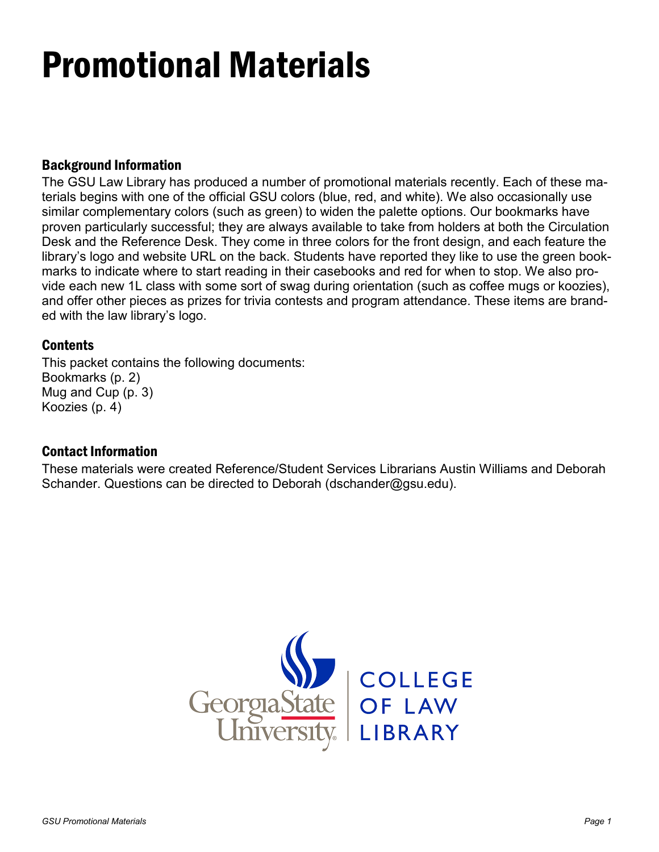# Promotional Materials

#### Background Information

The GSU Law Library has produced a number of promotional materials recently. Each of these materials begins with one of the official GSU colors (blue, red, and white). We also occasionally use similar complementary colors (such as green) to widen the palette options. Our bookmarks have proven particularly successful; they are always available to take from holders at both the Circulation Desk and the Reference Desk. They come in three colors for the front design, and each feature the library's logo and website URL on the back. Students have reported they like to use the green bookmarks to indicate where to start reading in their casebooks and red for when to stop. We also provide each new 1L class with some sort of swag during orientation (such as coffee mugs or koozies), and offer other pieces as prizes for trivia contests and program attendance. These items are branded with the law library's logo.

#### **Contents**

This packet contains the following documents: Bookmarks (p. 2) Mug and Cup (p. 3) Koozies (p. 4)

#### Contact Information

These materials were created Reference/Student Services Librarians Austin Williams and Deborah Schander. Questions can be directed to Deborah (dschander@gsu.edu).

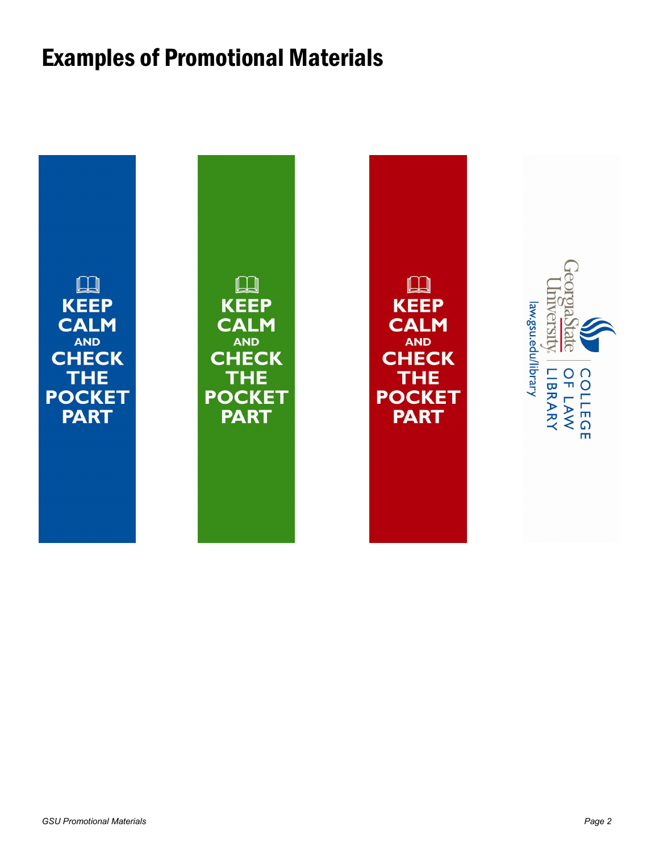### Examples of Promotional Materials

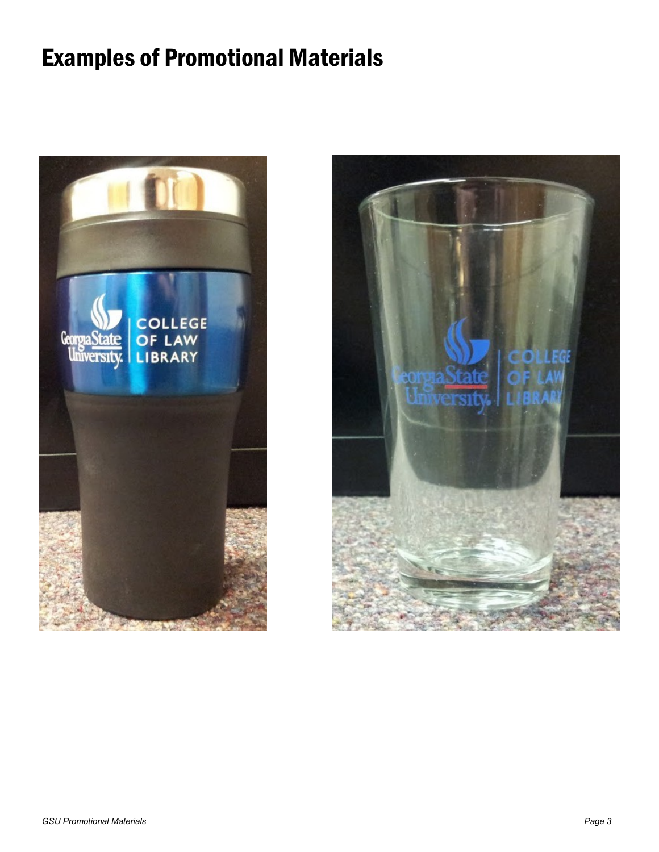## Examples of Promotional Materials